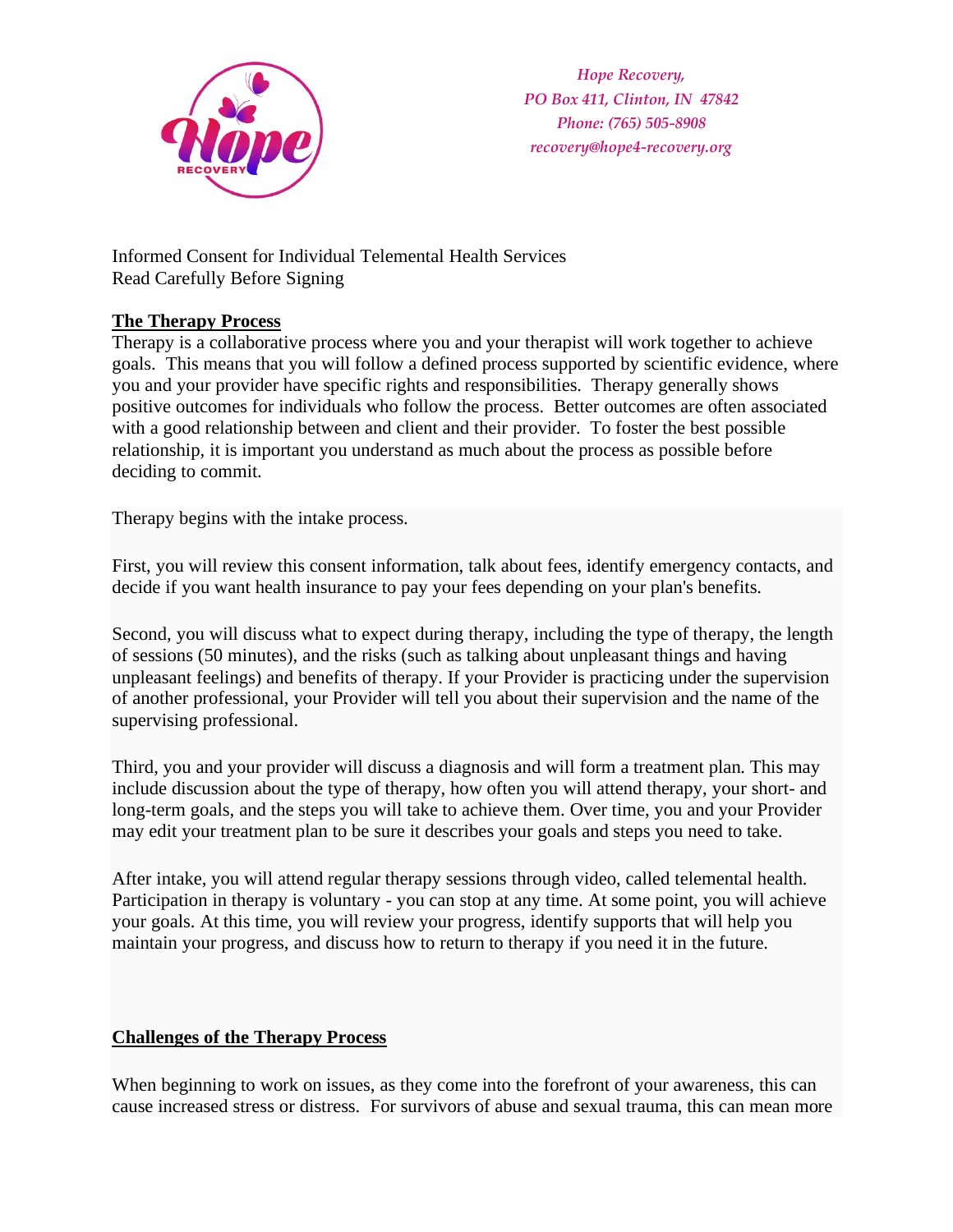

Informed Consent for Individual Telemental Health Services Read Carefully Before Signing

## **The Therapy Process**

Therapy is a collaborative process where you and your therapist will work together to achieve goals. This means that you will follow a defined process supported by scientific evidence, where you and your provider have specific rights and responsibilities. Therapy generally shows positive outcomes for individuals who follow the process. Better outcomes are often associated with a good relationship between and client and their provider. To foster the best possible relationship, it is important you understand as much about the process as possible before deciding to commit.

Therapy begins with the intake process.

First, you will review this consent information, talk about fees, identify emergency contacts, and decide if you want health insurance to pay your fees depending on your plan's benefits.

Second, you will discuss what to expect during therapy, including the type of therapy, the length of sessions (50 minutes), and the risks (such as talking about unpleasant things and having unpleasant feelings) and benefits of therapy. If your Provider is practicing under the supervision of another professional, your Provider will tell you about their supervision and the name of the supervising professional.

Third, you and your provider will discuss a diagnosis and will form a treatment plan. This may include discussion about the type of therapy, how often you will attend therapy, your short- and long-term goals, and the steps you will take to achieve them. Over time, you and your Provider may edit your treatment plan to be sure it describes your goals and steps you need to take.

After intake, you will attend regular therapy sessions through video, called telemental health. Participation in therapy is voluntary - you can stop at any time. At some point, you will achieve your goals. At this time, you will review your progress, identify supports that will help you maintain your progress, and discuss how to return to therapy if you need it in the future.

## **Challenges of the Therapy Process**

When beginning to work on issues, as they come into the forefront of your awareness, this can cause increased stress or distress. For survivors of abuse and sexual trauma, this can mean more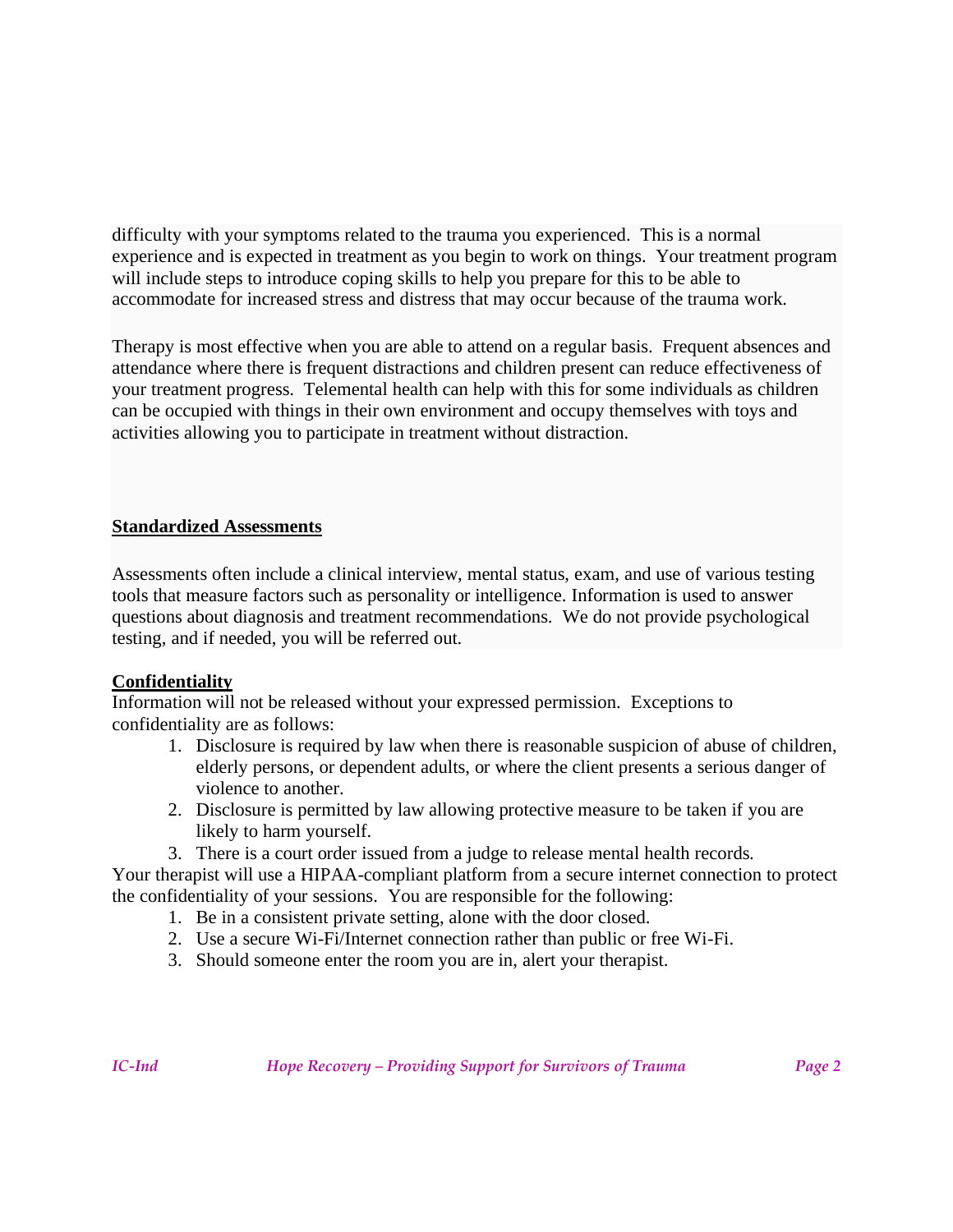difficulty with your symptoms related to the trauma you experienced. This is a normal experience and is expected in treatment as you begin to work on things. Your treatment program will include steps to introduce coping skills to help you prepare for this to be able to accommodate for increased stress and distress that may occur because of the trauma work.

Therapy is most effective when you are able to attend on a regular basis. Frequent absences and attendance where there is frequent distractions and children present can reduce effectiveness of your treatment progress. Telemental health can help with this for some individuals as children can be occupied with things in their own environment and occupy themselves with toys and activities allowing you to participate in treatment without distraction.

## **Standardized Assessments**

Assessments often include a clinical interview, mental status, exam, and use of various testing tools that measure factors such as personality or intelligence. Information is used to answer questions about diagnosis and treatment recommendations. We do not provide psychological testing, and if needed, you will be referred out.

## **Confidentiality**

Information will not be released without your expressed permission. Exceptions to confidentiality are as follows:

- 1. Disclosure is required by law when there is reasonable suspicion of abuse of children, elderly persons, or dependent adults, or where the client presents a serious danger of violence to another.
- 2. Disclosure is permitted by law allowing protective measure to be taken if you are likely to harm yourself.
- 3. There is a court order issued from a judge to release mental health records.

Your therapist will use a HIPAA-compliant platform from a secure internet connection to protect the confidentiality of your sessions. You are responsible for the following:

- 1. Be in a consistent private setting, alone with the door closed.
- 2. Use a secure Wi-Fi/Internet connection rather than public or free Wi-Fi.
- 3. Should someone enter the room you are in, alert your therapist.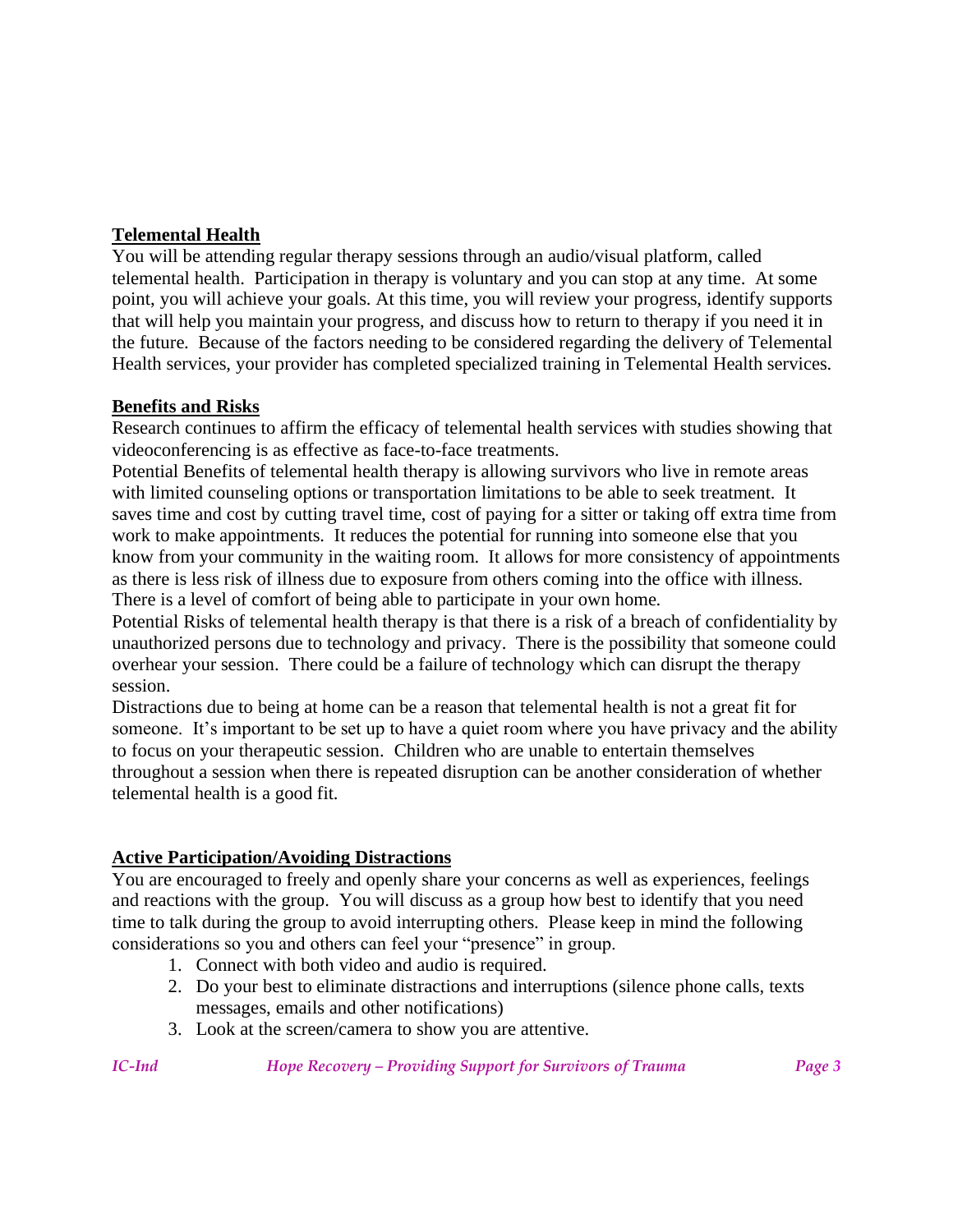# **Telemental Health**

You will be attending regular therapy sessions through an audio/visual platform, called telemental health. Participation in therapy is voluntary and you can stop at any time. At some point, you will achieve your goals. At this time, you will review your progress, identify supports that will help you maintain your progress, and discuss how to return to therapy if you need it in the future. Because of the factors needing to be considered regarding the delivery of Telemental Health services, your provider has completed specialized training in Telemental Health services.

### **Benefits and Risks**

Research continues to affirm the efficacy of telemental health services with studies showing that videoconferencing is as effective as face-to-face treatments.

Potential Benefits of telemental health therapy is allowing survivors who live in remote areas with limited counseling options or transportation limitations to be able to seek treatment. It saves time and cost by cutting travel time, cost of paying for a sitter or taking off extra time from work to make appointments. It reduces the potential for running into someone else that you know from your community in the waiting room. It allows for more consistency of appointments as there is less risk of illness due to exposure from others coming into the office with illness. There is a level of comfort of being able to participate in your own home.

Potential Risks of telemental health therapy is that there is a risk of a breach of confidentiality by unauthorized persons due to technology and privacy. There is the possibility that someone could overhear your session. There could be a failure of technology which can disrupt the therapy session.

Distractions due to being at home can be a reason that telemental health is not a great fit for someone. It's important to be set up to have a quiet room where you have privacy and the ability to focus on your therapeutic session. Children who are unable to entertain themselves throughout a session when there is repeated disruption can be another consideration of whether telemental health is a good fit.

## **Active Participation/Avoiding Distractions**

You are encouraged to freely and openly share your concerns as well as experiences, feelings and reactions with the group. You will discuss as a group how best to identify that you need time to talk during the group to avoid interrupting others. Please keep in mind the following considerations so you and others can feel your "presence" in group.

- 1. Connect with both video and audio is required.
- 2. Do your best to eliminate distractions and interruptions (silence phone calls, texts messages, emails and other notifications)
- 3. Look at the screen/camera to show you are attentive.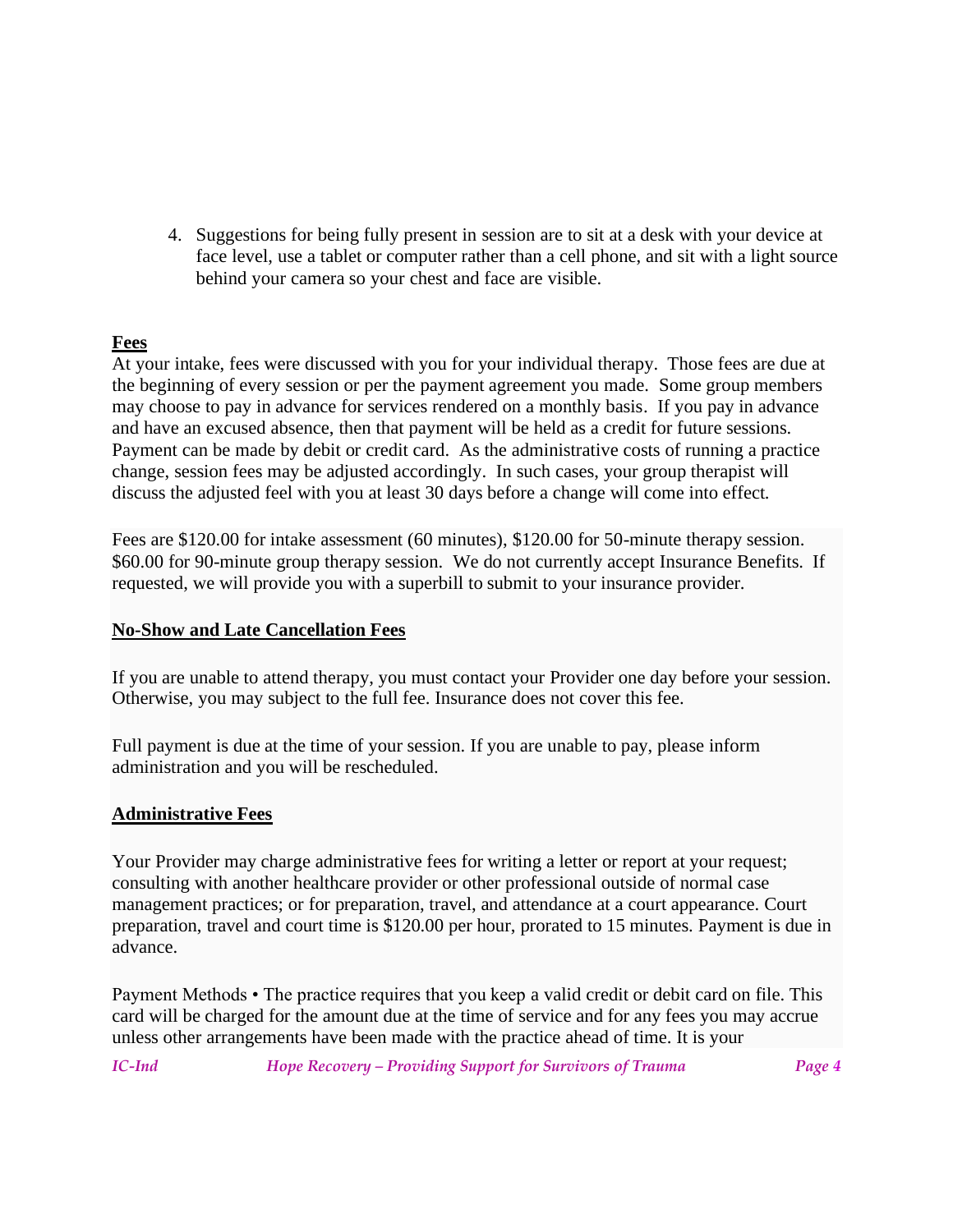4. Suggestions for being fully present in session are to sit at a desk with your device at face level, use a tablet or computer rather than a cell phone, and sit with a light source behind your camera so your chest and face are visible.

## **Fees**

At your intake, fees were discussed with you for your individual therapy. Those fees are due at the beginning of every session or per the payment agreement you made. Some group members may choose to pay in advance for services rendered on a monthly basis. If you pay in advance and have an excused absence, then that payment will be held as a credit for future sessions. Payment can be made by debit or credit card. As the administrative costs of running a practice change, session fees may be adjusted accordingly. In such cases, your group therapist will discuss the adjusted feel with you at least 30 days before a change will come into effect.

Fees are \$120.00 for intake assessment (60 minutes), \$120.00 for 50-minute therapy session. \$60.00 for 90-minute group therapy session. We do not currently accept Insurance Benefits. If requested, we will provide you with a superbill to submit to your insurance provider.

## **No-Show and Late Cancellation Fees**

If you are unable to attend therapy, you must contact your Provider one day before your session. Otherwise, you may subject to the full fee. Insurance does not cover this fee.

Full payment is due at the time of your session. If you are unable to pay, please inform administration and you will be rescheduled.

## **Administrative Fees**

Your Provider may charge administrative fees for writing a letter or report at your request; consulting with another healthcare provider or other professional outside of normal case management practices; or for preparation, travel, and attendance at a court appearance. Court preparation, travel and court time is \$120.00 per hour, prorated to 15 minutes. Payment is due in advance.

Payment Methods • The practice requires that you keep a valid credit or debit card on file. This card will be charged for the amount due at the time of service and for any fees you may accrue unless other arrangements have been made with the practice ahead of time. It is your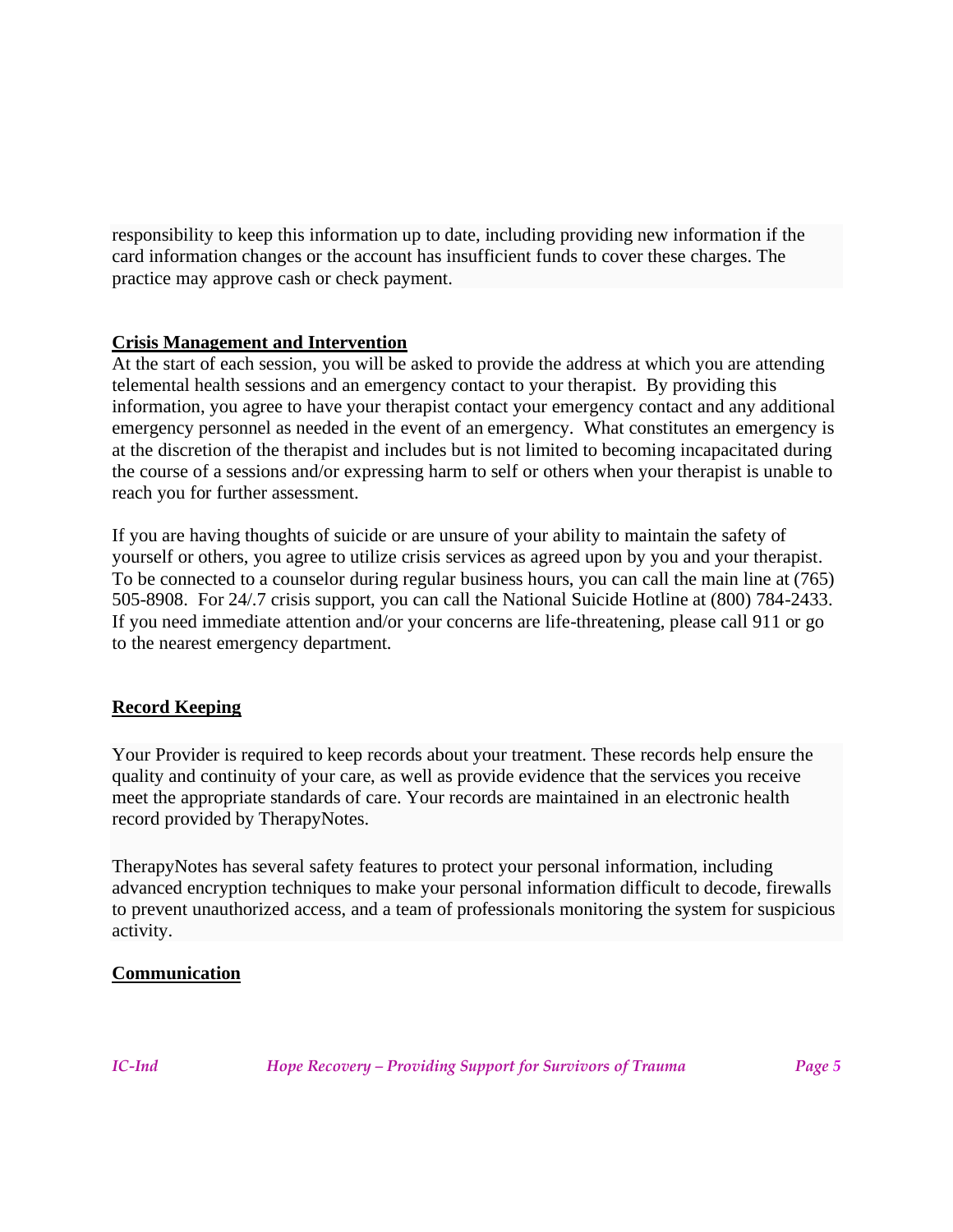responsibility to keep this information up to date, including providing new information if the card information changes or the account has insufficient funds to cover these charges. The practice may approve cash or check payment.

### **Crisis Management and Intervention**

At the start of each session, you will be asked to provide the address at which you are attending telemental health sessions and an emergency contact to your therapist. By providing this information, you agree to have your therapist contact your emergency contact and any additional emergency personnel as needed in the event of an emergency. What constitutes an emergency is at the discretion of the therapist and includes but is not limited to becoming incapacitated during the course of a sessions and/or expressing harm to self or others when your therapist is unable to reach you for further assessment.

If you are having thoughts of suicide or are unsure of your ability to maintain the safety of yourself or others, you agree to utilize crisis services as agreed upon by you and your therapist. To be connected to a counselor during regular business hours, you can call the main line at (765) 505-8908. For 24/.7 crisis support, you can call the National Suicide Hotline at (800) 784-2433. If you need immediate attention and/or your concerns are life-threatening, please call 911 or go to the nearest emergency department.

## **Record Keeping**

Your Provider is required to keep records about your treatment. These records help ensure the quality and continuity of your care, as well as provide evidence that the services you receive meet the appropriate standards of care. Your records are maintained in an electronic health record provided by TherapyNotes.

TherapyNotes has several safety features to protect your personal information, including advanced encryption techniques to make your personal information difficult to decode, firewalls to prevent unauthorized access, and a team of professionals monitoring the system for suspicious activity.

## **Communication**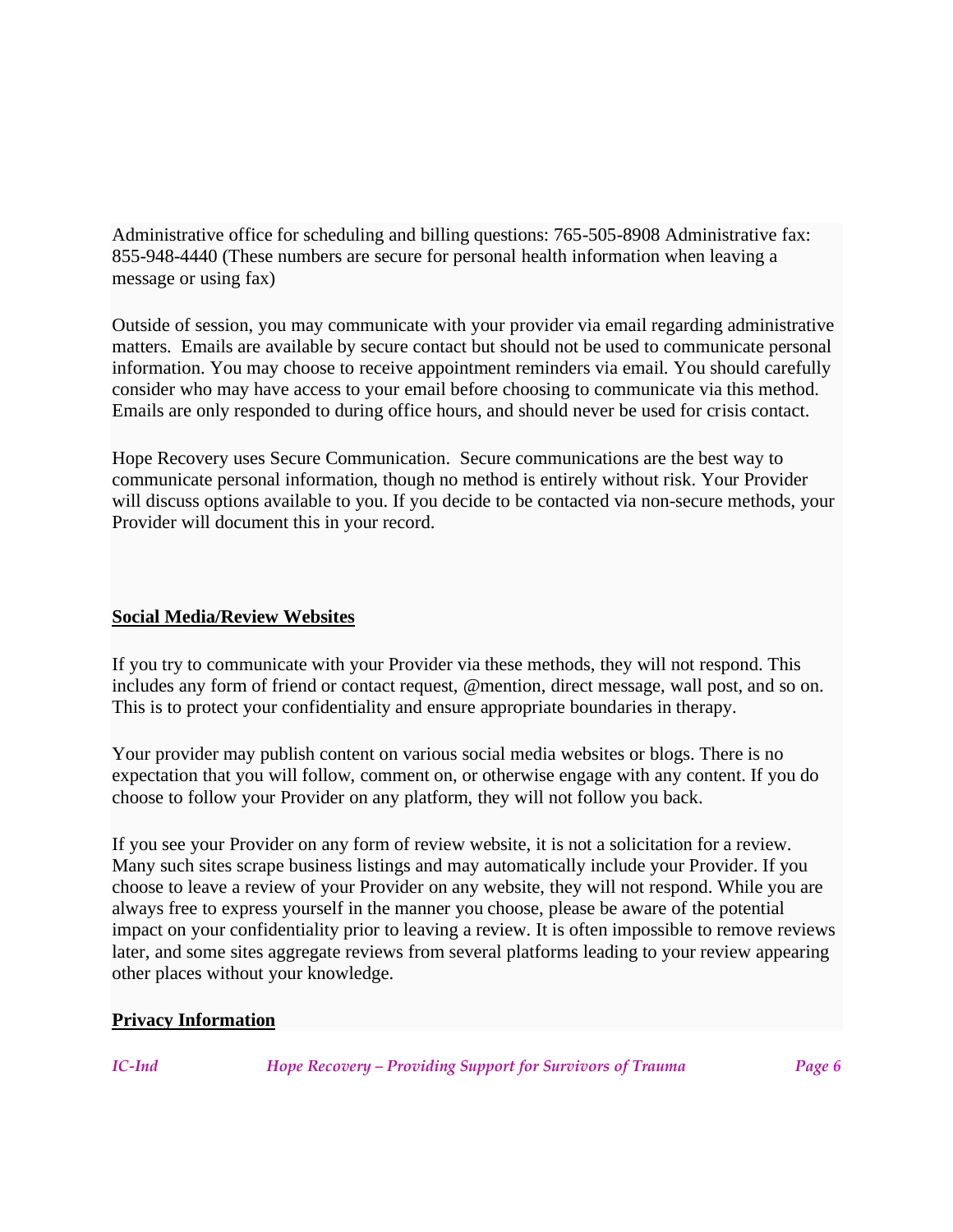Administrative office for scheduling and billing questions: 765-505-8908 Administrative fax: 855-948-4440 (These numbers are secure for personal health information when leaving a message or using fax)

Outside of session, you may communicate with your provider via email regarding administrative matters. Emails are available by secure contact but should not be used to communicate personal information. You may choose to receive appointment reminders via email. You should carefully consider who may have access to your email before choosing to communicate via this method. Emails are only responded to during office hours, and should never be used for crisis contact.

Hope Recovery uses Secure Communication. Secure communications are the best way to communicate personal information, though no method is entirely without risk. Your Provider will discuss options available to you. If you decide to be contacted via non-secure methods, your Provider will document this in your record.

## **Social Media/Review Websites**

If you try to communicate with your Provider via these methods, they will not respond. This includes any form of friend or contact request, @mention, direct message, wall post, and so on. This is to protect your confidentiality and ensure appropriate boundaries in therapy.

Your provider may publish content on various social media websites or blogs. There is no expectation that you will follow, comment on, or otherwise engage with any content. If you do choose to follow your Provider on any platform, they will not follow you back.

If you see your Provider on any form of review website, it is not a solicitation for a review. Many such sites scrape business listings and may automatically include your Provider. If you choose to leave a review of your Provider on any website, they will not respond. While you are always free to express yourself in the manner you choose, please be aware of the potential impact on your confidentiality prior to leaving a review. It is often impossible to remove reviews later, and some sites aggregate reviews from several platforms leading to your review appearing other places without your knowledge.

## **Privacy Information**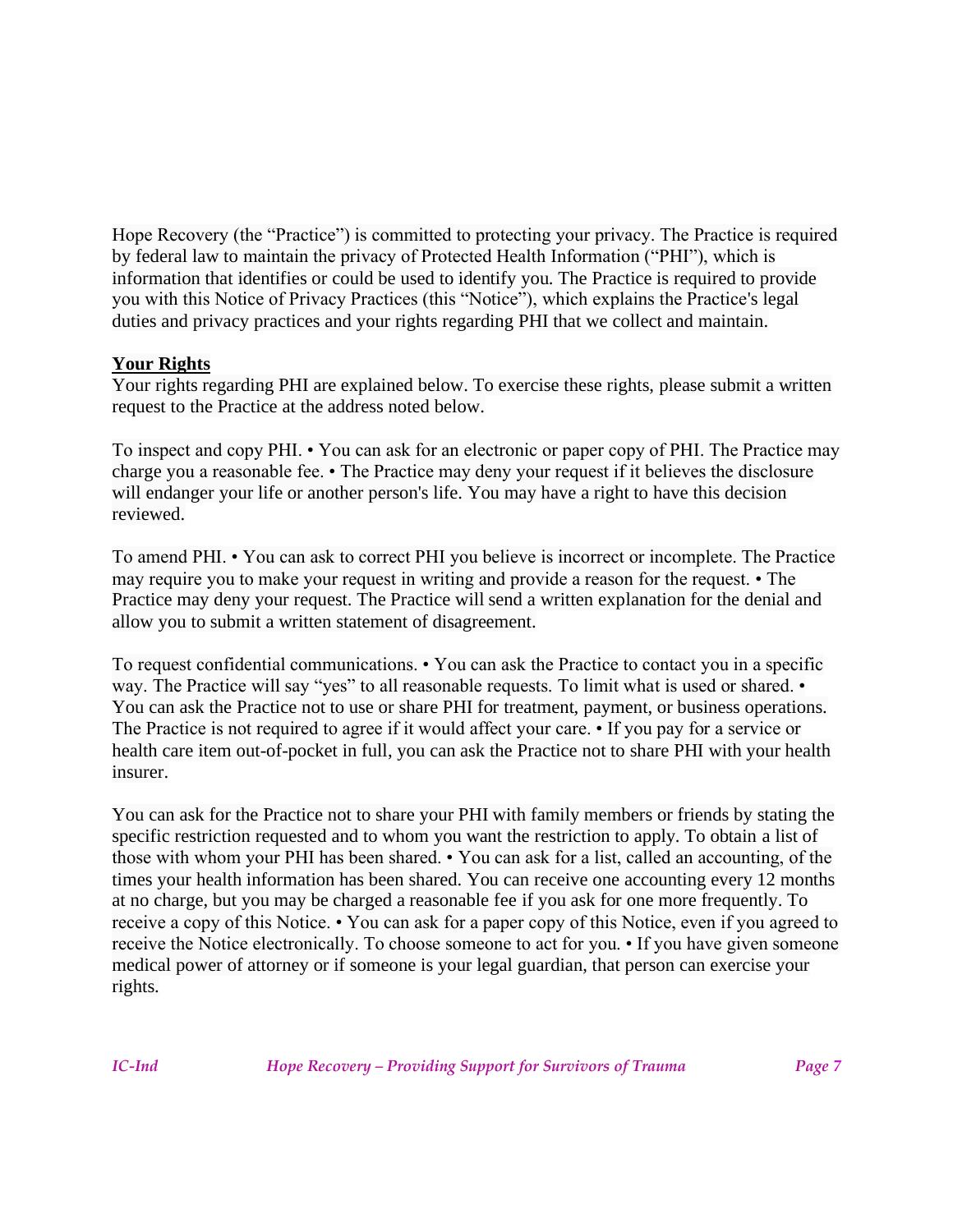Hope Recovery (the "Practice") is committed to protecting your privacy. The Practice is required by federal law to maintain the privacy of Protected Health Information ("PHI"), which is information that identifies or could be used to identify you. The Practice is required to provide you with this Notice of Privacy Practices (this "Notice"), which explains the Practice's legal duties and privacy practices and your rights regarding PHI that we collect and maintain.

### **Your Rights**

Your rights regarding PHI are explained below. To exercise these rights, please submit a written request to the Practice at the address noted below.

To inspect and copy PHI. • You can ask for an electronic or paper copy of PHI. The Practice may charge you a reasonable fee. • The Practice may deny your request if it believes the disclosure will endanger your life or another person's life. You may have a right to have this decision reviewed.

To amend PHI. • You can ask to correct PHI you believe is incorrect or incomplete. The Practice may require you to make your request in writing and provide a reason for the request. • The Practice may deny your request. The Practice will send a written explanation for the denial and allow you to submit a written statement of disagreement.

To request confidential communications. • You can ask the Practice to contact you in a specific way. The Practice will say "yes" to all reasonable requests. To limit what is used or shared. • You can ask the Practice not to use or share PHI for treatment, payment, or business operations. The Practice is not required to agree if it would affect your care. • If you pay for a service or health care item out-of-pocket in full, you can ask the Practice not to share PHI with your health insurer.

You can ask for the Practice not to share your PHI with family members or friends by stating the specific restriction requested and to whom you want the restriction to apply. To obtain a list of those with whom your PHI has been shared. • You can ask for a list, called an accounting, of the times your health information has been shared. You can receive one accounting every 12 months at no charge, but you may be charged a reasonable fee if you ask for one more frequently. To receive a copy of this Notice. • You can ask for a paper copy of this Notice, even if you agreed to receive the Notice electronically. To choose someone to act for you. • If you have given someone medical power of attorney or if someone is your legal guardian, that person can exercise your rights.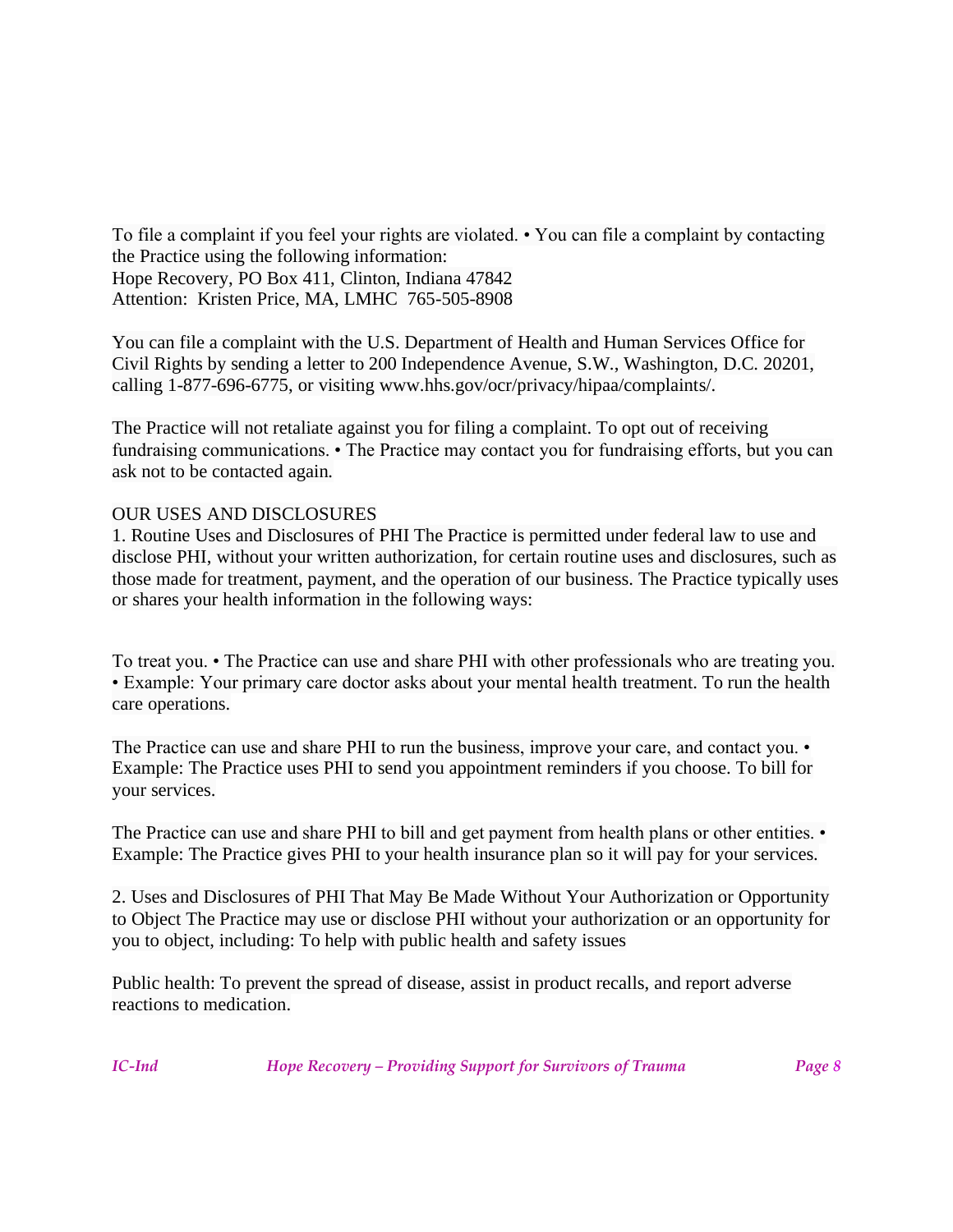To file a complaint if you feel your rights are violated. • You can file a complaint by contacting the Practice using the following information: Hope Recovery, PO Box 411, Clinton, Indiana 47842 Attention: Kristen Price, MA, LMHC 765-505-8908

You can file a complaint with the U.S. Department of Health and Human Services Office for Civil Rights by sending a letter to 200 Independence Avenue, S.W., Washington, D.C. 20201, calling 1-877-696-6775, or visiting www.hhs.gov/ocr/privacy/hipaa/complaints/.

The Practice will not retaliate against you for filing a complaint. To opt out of receiving fundraising communications. • The Practice may contact you for fundraising efforts, but you can ask not to be contacted again.

#### OUR USES AND DISCLOSURES

1. Routine Uses and Disclosures of PHI The Practice is permitted under federal law to use and disclose PHI, without your written authorization, for certain routine uses and disclosures, such as those made for treatment, payment, and the operation of our business. The Practice typically uses or shares your health information in the following ways:

To treat you. • The Practice can use and share PHI with other professionals who are treating you. • Example: Your primary care doctor asks about your mental health treatment. To run the health care operations.

The Practice can use and share PHI to run the business, improve your care, and contact you. • Example: The Practice uses PHI to send you appointment reminders if you choose. To bill for your services.

The Practice can use and share PHI to bill and get payment from health plans or other entities. • Example: The Practice gives PHI to your health insurance plan so it will pay for your services.

2. Uses and Disclosures of PHI That May Be Made Without Your Authorization or Opportunity to Object The Practice may use or disclose PHI without your authorization or an opportunity for you to object, including: To help with public health and safety issues

Public health: To prevent the spread of disease, assist in product recalls, and report adverse reactions to medication.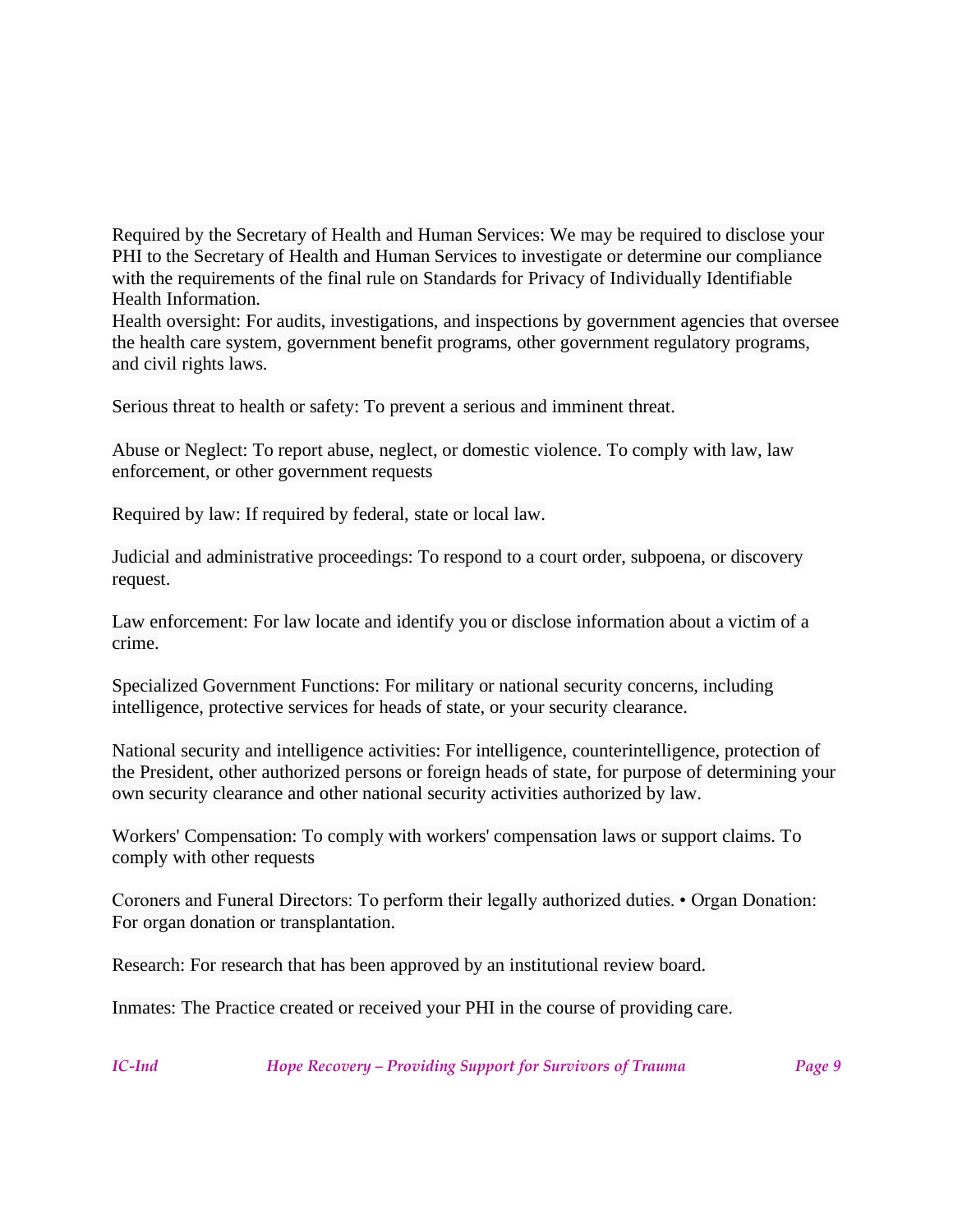Required by the Secretary of Health and Human Services: We may be required to disclose your PHI to the Secretary of Health and Human Services to investigate or determine our compliance with the requirements of the final rule on Standards for Privacy of Individually Identifiable Health Information.

Health oversight: For audits, investigations, and inspections by government agencies that oversee the health care system, government benefit programs, other government regulatory programs, and civil rights laws.

Serious threat to health or safety: To prevent a serious and imminent threat.

Abuse or Neglect: To report abuse, neglect, or domestic violence. To comply with law, law enforcement, or other government requests

Required by law: If required by federal, state or local law.

Judicial and administrative proceedings: To respond to a court order, subpoena, or discovery request.

Law enforcement: For law locate and identify you or disclose information about a victim of a crime.

Specialized Government Functions: For military or national security concerns, including intelligence, protective services for heads of state, or your security clearance.

National security and intelligence activities: For intelligence, counterintelligence, protection of the President, other authorized persons or foreign heads of state, for purpose of determining your own security clearance and other national security activities authorized by law.

Workers' Compensation: To comply with workers' compensation laws or support claims. To comply with other requests

Coroners and Funeral Directors: To perform their legally authorized duties. • Organ Donation: For organ donation or transplantation.

Research: For research that has been approved by an institutional review board.

Inmates: The Practice created or received your PHI in the course of providing care.